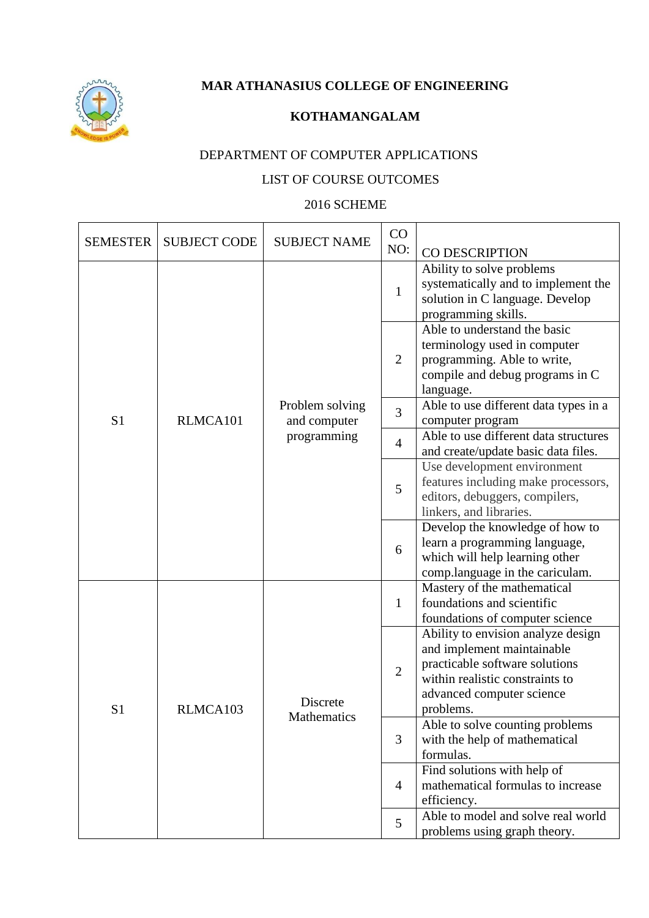

**MAR ATHANASIUS COLLEGE OF ENGINEERING**

## **KOTHAMANGALAM**

## DEPARTMENT OF COMPUTER APPLICATIONS

## LIST OF COURSE OUTCOMES

## 2016 SCHEME

| <b>SEMESTER</b> | <b>SUBJECT CODE</b> | <b>SUBJECT NAME</b>             | CO<br>NO:      | CO DESCRIPTION                                                                                                                                                                  |
|-----------------|---------------------|---------------------------------|----------------|---------------------------------------------------------------------------------------------------------------------------------------------------------------------------------|
|                 |                     |                                 | $\mathbf{1}$   | Ability to solve problems<br>systematically and to implement the<br>solution in C language. Develop<br>programming skills.                                                      |
|                 |                     |                                 | $\overline{2}$ | Able to understand the basic<br>terminology used in computer<br>programming. Able to write,<br>compile and debug programs in C<br>language.                                     |
| S <sub>1</sub>  | RLMCA101            | Problem solving<br>and computer | $\overline{3}$ | Able to use different data types in a<br>computer program                                                                                                                       |
|                 |                     | programming                     | $\overline{4}$ | Able to use different data structures<br>and create/update basic data files.                                                                                                    |
| S <sub>1</sub>  |                     |                                 | 5              | Use development environment<br>features including make processors,<br>editors, debuggers, compilers,<br>linkers, and libraries.                                                 |
|                 |                     |                                 | 6              | Develop the knowledge of how to<br>learn a programming language,<br>which will help learning other<br>comp.language in the cariculam.                                           |
|                 | RLMCA103            | Discrete<br>Mathematics         | $\mathbf{1}$   | Mastery of the mathematical<br>foundations and scientific<br>foundations of computer science                                                                                    |
|                 |                     |                                 | $\overline{2}$ | Ability to envision analyze design<br>and implement maintainable<br>practicable software solutions<br>within realistic constraints to<br>advanced computer science<br>problems. |
|                 |                     |                                 | 3              | Able to solve counting problems<br>with the help of mathematical<br>formulas.                                                                                                   |
|                 |                     |                                 | $\overline{4}$ | Find solutions with help of<br>mathematical formulas to increase<br>efficiency.                                                                                                 |
|                 |                     |                                 | 5              | Able to model and solve real world<br>problems using graph theory.                                                                                                              |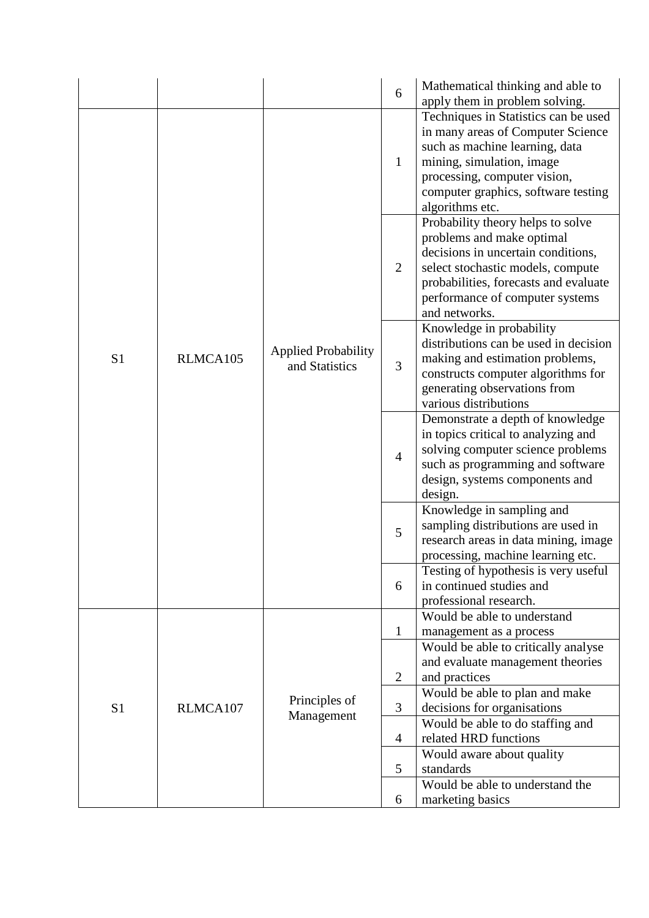|                |          |                                              | 6              | Mathematical thinking and able to<br>apply them in problem solving.                                                                                                                                                                    |
|----------------|----------|----------------------------------------------|----------------|----------------------------------------------------------------------------------------------------------------------------------------------------------------------------------------------------------------------------------------|
|                |          |                                              | $\mathbf{1}$   | Techniques in Statistics can be used<br>in many areas of Computer Science<br>such as machine learning, data<br>mining, simulation, image<br>processing, computer vision,<br>computer graphics, software testing<br>algorithms etc.     |
|                |          |                                              | $\overline{2}$ | Probability theory helps to solve<br>problems and make optimal<br>decisions in uncertain conditions,<br>select stochastic models, compute<br>probabilities, forecasts and evaluate<br>performance of computer systems<br>and networks. |
| S <sub>1</sub> | RLMCA105 | <b>Applied Probability</b><br>and Statistics | 3              | Knowledge in probability<br>distributions can be used in decision<br>making and estimation problems,<br>constructs computer algorithms for<br>generating observations from<br>various distributions                                    |
|                |          |                                              | $\overline{4}$ | Demonstrate a depth of knowledge<br>in topics critical to analyzing and<br>solving computer science problems<br>such as programming and software<br>design, systems components and<br>design.                                          |
|                |          |                                              | 5              | Knowledge in sampling and<br>sampling distributions are used in<br>research areas in data mining, image<br>processing, machine learning etc.                                                                                           |
|                |          |                                              | 6              | Testing of hypothesis is very useful<br>in continued studies and<br>professional research.                                                                                                                                             |
|                |          |                                              | $\mathbf{1}$   | Would be able to understand<br>management as a process                                                                                                                                                                                 |
|                |          |                                              | $\overline{2}$ | Would be able to critically analyse<br>and evaluate management theories<br>and practices                                                                                                                                               |
| S <sub>1</sub> | RLMCA107 | Principles of                                | 3              | Would be able to plan and make<br>decisions for organisations                                                                                                                                                                          |
|                |          | Management                                   | $\overline{4}$ | Would be able to do staffing and<br>related HRD functions                                                                                                                                                                              |
|                |          |                                              | 5              | Would aware about quality<br>standards                                                                                                                                                                                                 |
|                |          |                                              | 6              | Would be able to understand the<br>marketing basics                                                                                                                                                                                    |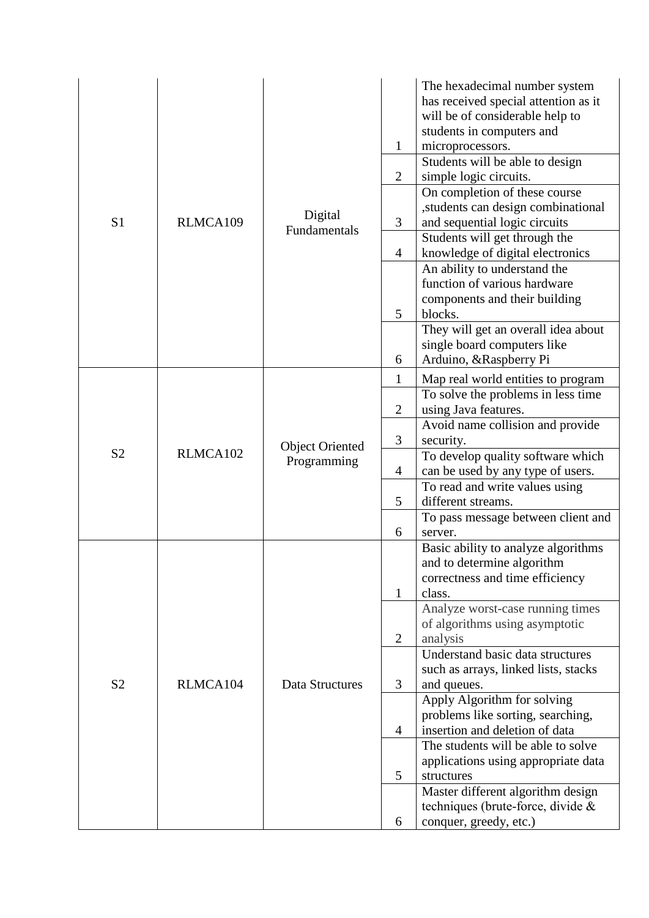|                |          |                                       | $\mathbf{1}$   | The hexadecimal number system<br>has received special attention as it<br>will be of considerable help to<br>students in computers and<br>microprocessors.<br>Students will be able to design |
|----------------|----------|---------------------------------------|----------------|----------------------------------------------------------------------------------------------------------------------------------------------------------------------------------------------|
|                |          |                                       | $\overline{2}$ | simple logic circuits.                                                                                                                                                                       |
|                |          |                                       |                | On completion of these course                                                                                                                                                                |
| S <sub>1</sub> | RLMCA109 | Digital                               | 3              | students can design combinational                                                                                                                                                            |
|                |          | Fundamentals                          |                | and sequential logic circuits<br>Students will get through the                                                                                                                               |
|                |          |                                       | $\overline{4}$ | knowledge of digital electronics                                                                                                                                                             |
|                |          |                                       |                | An ability to understand the                                                                                                                                                                 |
|                |          |                                       |                | function of various hardware                                                                                                                                                                 |
|                |          |                                       |                | components and their building                                                                                                                                                                |
|                |          |                                       | 5              | blocks.<br>They will get an overall idea about                                                                                                                                               |
|                |          |                                       |                | single board computers like                                                                                                                                                                  |
|                |          |                                       | 6              | Arduino, &Raspberry Pi                                                                                                                                                                       |
|                | RLMCA102 | <b>Object Oriented</b><br>Programming | $\mathbf{1}$   | Map real world entities to program                                                                                                                                                           |
|                |          |                                       |                | To solve the problems in less time                                                                                                                                                           |
|                |          |                                       | $\overline{2}$ | using Java features.                                                                                                                                                                         |
|                |          |                                       | 3              | Avoid name collision and provide<br>security.                                                                                                                                                |
| S <sub>2</sub> |          |                                       |                | To develop quality software which                                                                                                                                                            |
|                |          |                                       | $\overline{4}$ | can be used by any type of users.                                                                                                                                                            |
|                |          |                                       |                | To read and write values using                                                                                                                                                               |
|                |          |                                       | 5              | different streams.                                                                                                                                                                           |
|                |          |                                       |                | To pass message between client and                                                                                                                                                           |
|                |          |                                       | 6              | server.<br>Basic ability to analyze algorithms                                                                                                                                               |
|                |          |                                       |                | and to determine algorithm                                                                                                                                                                   |
|                |          |                                       |                | correctness and time efficiency                                                                                                                                                              |
|                |          |                                       | $\mathbf{1}$   | class.                                                                                                                                                                                       |
|                |          |                                       |                | Analyze worst-case running times                                                                                                                                                             |
|                |          |                                       | $\overline{2}$ | of algorithms using asymptotic<br>analysis                                                                                                                                                   |
|                |          |                                       |                | Understand basic data structures                                                                                                                                                             |
|                |          |                                       |                | such as arrays, linked lists, stacks                                                                                                                                                         |
| S <sub>2</sub> | RLMCA104 | Data Structures                       | 3              | and queues.                                                                                                                                                                                  |
|                |          |                                       |                | Apply Algorithm for solving                                                                                                                                                                  |
|                |          |                                       | $\overline{4}$ | problems like sorting, searching,<br>insertion and deletion of data                                                                                                                          |
|                |          |                                       |                | The students will be able to solve                                                                                                                                                           |
|                |          |                                       |                | applications using appropriate data                                                                                                                                                          |
|                |          |                                       | 5              | structures                                                                                                                                                                                   |
|                |          |                                       |                | Master different algorithm design                                                                                                                                                            |
|                |          |                                       |                | techniques (brute-force, divide &                                                                                                                                                            |
|                |          |                                       | 6              | conquer, greedy, etc.)                                                                                                                                                                       |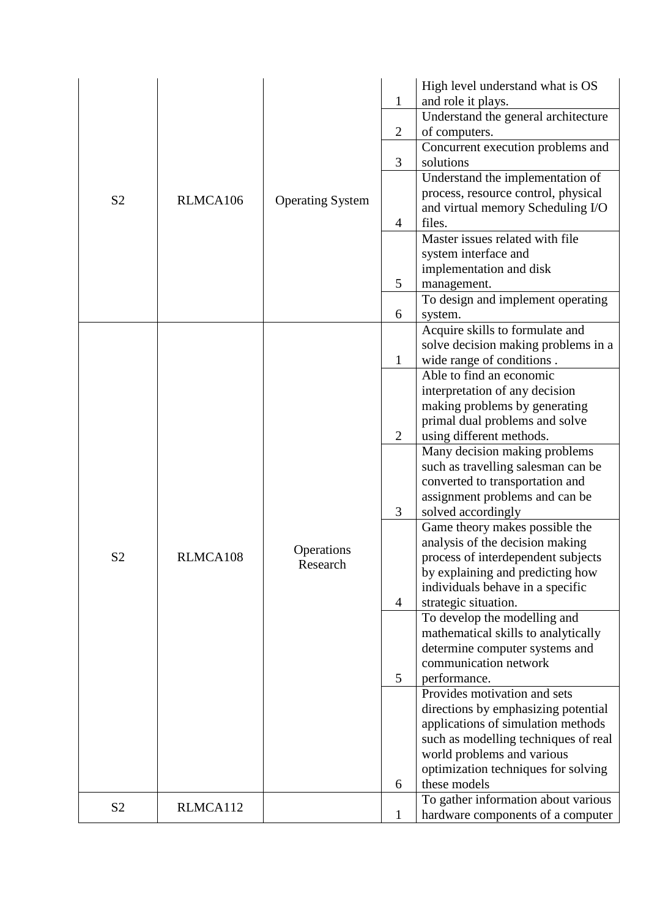|                |          |                         | $\mathbf{1}$   | High level understand what is OS<br>and role it plays.                     |
|----------------|----------|-------------------------|----------------|----------------------------------------------------------------------------|
|                |          |                         |                | Understand the general architecture                                        |
|                |          |                         | $\overline{2}$ | of computers.                                                              |
|                |          |                         |                | Concurrent execution problems and                                          |
|                |          |                         | 3              | solutions                                                                  |
|                |          |                         |                | Understand the implementation of                                           |
| S <sub>2</sub> | RLMCA106 | <b>Operating System</b> |                | process, resource control, physical                                        |
|                |          |                         |                | and virtual memory Scheduling I/O                                          |
|                |          |                         | $\overline{4}$ | files.<br>Master issues related with file                                  |
|                |          |                         |                | system interface and                                                       |
|                |          |                         |                | implementation and disk                                                    |
|                |          |                         | 5              | management.                                                                |
|                |          |                         |                | To design and implement operating                                          |
|                |          |                         | 6              | system.                                                                    |
|                |          |                         |                | Acquire skills to formulate and                                            |
|                |          |                         |                | solve decision making problems in a                                        |
|                |          |                         | $\mathbf{1}$   | wide range of conditions.                                                  |
|                |          |                         |                | Able to find an economic                                                   |
|                |          |                         |                | interpretation of any decision                                             |
|                |          |                         |                | making problems by generating                                              |
|                |          |                         | $\overline{2}$ | primal dual problems and solve<br>using different methods.                 |
|                |          |                         |                | Many decision making problems                                              |
|                |          |                         |                | such as travelling salesman can be                                         |
|                |          |                         |                | converted to transportation and                                            |
|                |          |                         |                | assignment problems and can be                                             |
|                |          |                         | 3              | solved accordingly                                                         |
|                |          |                         |                | Game theory makes possible the                                             |
| S <sub>2</sub> | RLMCA108 | Operations              |                | analysis of the decision making                                            |
|                |          | Research                |                | process of interdependent subjects<br>by explaining and predicting how     |
|                |          |                         |                | individuals behave in a specific                                           |
|                |          |                         | $\overline{4}$ | strategic situation.                                                       |
|                |          |                         |                | To develop the modelling and                                               |
|                |          |                         |                | mathematical skills to analytically                                        |
|                |          |                         |                | determine computer systems and                                             |
|                |          |                         |                | communication network                                                      |
|                |          |                         | 5              | performance.                                                               |
|                |          |                         |                | Provides motivation and sets                                               |
|                |          |                         |                | directions by emphasizing potential                                        |
|                |          |                         |                | applications of simulation methods<br>such as modelling techniques of real |
|                |          |                         |                | world problems and various                                                 |
|                |          |                         |                | optimization techniques for solving                                        |
|                |          |                         | 6              | these models                                                               |
|                |          |                         |                | To gather information about various                                        |
| S <sub>2</sub> | RLMCA112 |                         | $\mathbf{1}$   | hardware components of a computer                                          |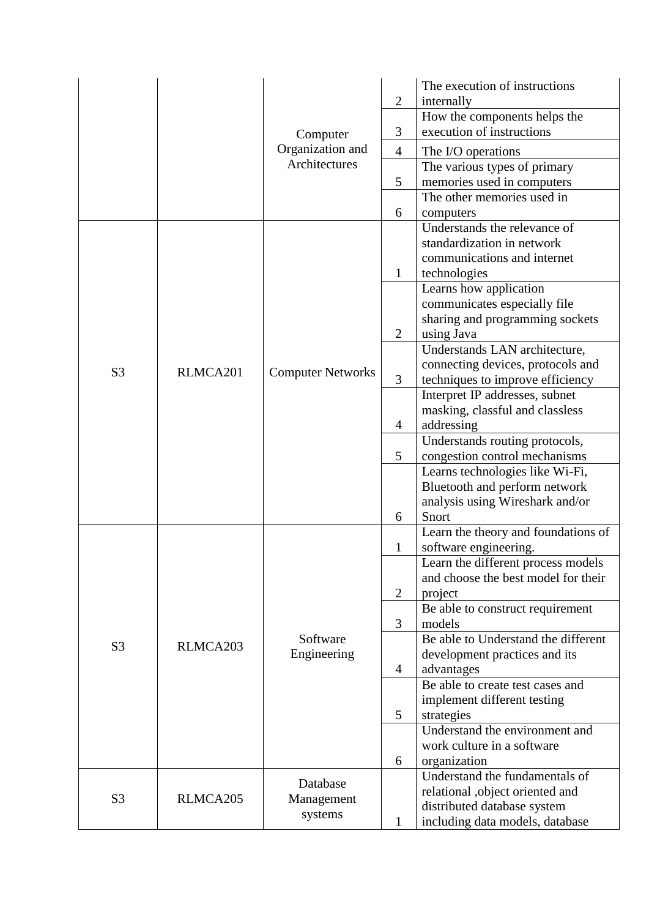|                |          |                          | $\overline{2}$ | The execution of instructions<br>internally                           |
|----------------|----------|--------------------------|----------------|-----------------------------------------------------------------------|
|                |          | Computer                 |                | How the components helps the                                          |
|                |          |                          | 3              | execution of instructions                                             |
|                |          | Organization and         | $\overline{4}$ | The I/O operations                                                    |
|                |          | Architectures            |                | The various types of primary                                          |
|                |          |                          | 5              | memories used in computers                                            |
|                |          |                          |                | The other memories used in                                            |
|                |          |                          | 6              | computers                                                             |
|                |          |                          |                | Understands the relevance of                                          |
|                |          |                          |                | standardization in network                                            |
|                |          |                          |                | communications and internet                                           |
|                |          |                          | 1              | technologies                                                          |
|                |          |                          |                | Learns how application                                                |
|                |          |                          |                | communicates especially file                                          |
|                |          |                          |                | sharing and programming sockets                                       |
|                |          |                          | $\overline{2}$ | using Java                                                            |
|                |          |                          |                | Understands LAN architecture,                                         |
| S <sub>3</sub> | RLMCA201 | <b>Computer Networks</b> | 3              | connecting devices, protocols and<br>techniques to improve efficiency |
|                |          |                          |                | Interpret IP addresses, subnet                                        |
|                |          |                          |                | masking, classful and classless                                       |
|                |          |                          | $\overline{4}$ | addressing                                                            |
|                |          |                          |                | Understands routing protocols,                                        |
|                |          |                          | 5              | congestion control mechanisms                                         |
|                |          |                          |                | Learns technologies like Wi-Fi,                                       |
|                |          |                          |                | Bluetooth and perform network                                         |
|                |          |                          |                | analysis using Wireshark and/or                                       |
|                |          |                          | 6              | Snort                                                                 |
|                |          |                          |                | Learn the theory and foundations of                                   |
|                |          |                          | $\mathbf{1}%$  | software engineering.                                                 |
|                |          |                          |                | Learn the different process models                                    |
|                |          |                          |                | and choose the best model for their                                   |
|                |          |                          | $\overline{2}$ | project                                                               |
|                |          |                          |                | Be able to construct requirement                                      |
|                |          |                          | 3              | models                                                                |
| S <sub>3</sub> | RLMCA203 | Software                 |                | Be able to Understand the different                                   |
|                |          | Engineering              |                | development practices and its                                         |
|                |          |                          | $\overline{4}$ | advantages                                                            |
|                |          |                          |                | Be able to create test cases and                                      |
|                |          |                          |                | implement different testing                                           |
|                |          |                          | 5              | strategies                                                            |
|                |          |                          |                | Understand the environment and                                        |
|                |          |                          |                | work culture in a software                                            |
|                |          |                          | 6              | organization                                                          |
|                |          | Database                 |                | Understand the fundamentals of                                        |
| S <sub>3</sub> | RLMCA205 | Management               |                | relational ,object oriented and                                       |
|                |          | systems                  |                | distributed database system                                           |
|                |          |                          | $\mathbf 1$    | including data models, database                                       |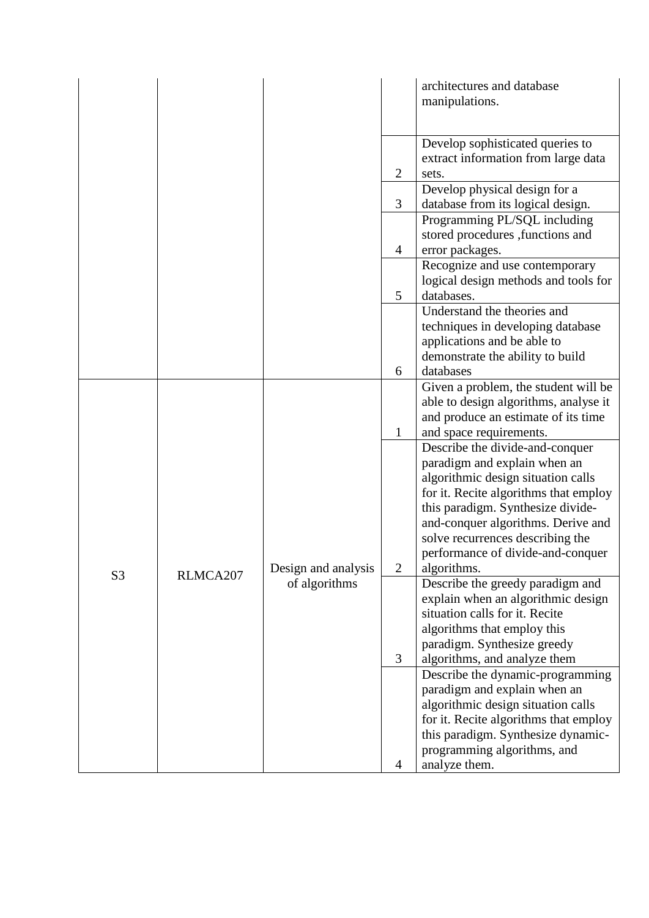|                |          |                     |                | architectures and database                                             |
|----------------|----------|---------------------|----------------|------------------------------------------------------------------------|
|                |          |                     |                | manipulations.                                                         |
|                |          |                     |                |                                                                        |
|                |          |                     |                | Develop sophisticated queries to                                       |
|                |          |                     | $\mathfrak{2}$ | extract information from large data                                    |
|                |          |                     |                | sets.<br>Develop physical design for a                                 |
|                |          |                     | 3              | database from its logical design.                                      |
|                |          |                     |                | Programming PL/SQL including                                           |
|                |          |                     |                | stored procedures , functions and                                      |
|                |          |                     | $\overline{4}$ | error packages.                                                        |
|                |          |                     |                | Recognize and use contemporary<br>logical design methods and tools for |
|                |          |                     | 5              | databases.                                                             |
|                |          |                     |                | Understand the theories and                                            |
|                |          |                     |                | techniques in developing database                                      |
|                |          |                     |                | applications and be able to                                            |
|                |          |                     | 6              | demonstrate the ability to build<br>databases                          |
|                |          |                     |                | Given a problem, the student will be                                   |
|                |          |                     |                | able to design algorithms, analyse it                                  |
|                |          |                     |                | and produce an estimate of its time                                    |
|                |          |                     | $\mathbf{1}$   | and space requirements.                                                |
|                |          |                     |                | Describe the divide-and-conquer<br>paradigm and explain when an        |
|                |          |                     |                | algorithmic design situation calls                                     |
|                |          |                     |                | for it. Recite algorithms that employ                                  |
|                |          |                     |                | this paradigm. Synthesize divide-                                      |
|                |          |                     |                | and-conquer algorithms. Derive and                                     |
|                |          | Design and analysis |                | solve recurrences describing the<br>performance of divide-and-conquer  |
|                |          |                     | $\overline{2}$ | algorithms.                                                            |
| S <sub>3</sub> | RLMCA207 | of algorithms       |                | Describe the greedy paradigm and                                       |
|                |          |                     |                | explain when an algorithmic design                                     |
|                |          |                     |                | situation calls for it. Recite                                         |
|                |          |                     |                | algorithms that employ this                                            |
|                |          |                     | 3              | paradigm. Synthesize greedy<br>algorithms, and analyze them            |
|                |          |                     |                | Describe the dynamic-programming                                       |
|                |          |                     |                | paradigm and explain when an                                           |
|                |          |                     |                | algorithmic design situation calls                                     |
|                |          |                     |                | for it. Recite algorithms that employ                                  |
|                |          |                     |                |                                                                        |
|                |          |                     |                | this paradigm. Synthesize dynamic-<br>programming algorithms, and      |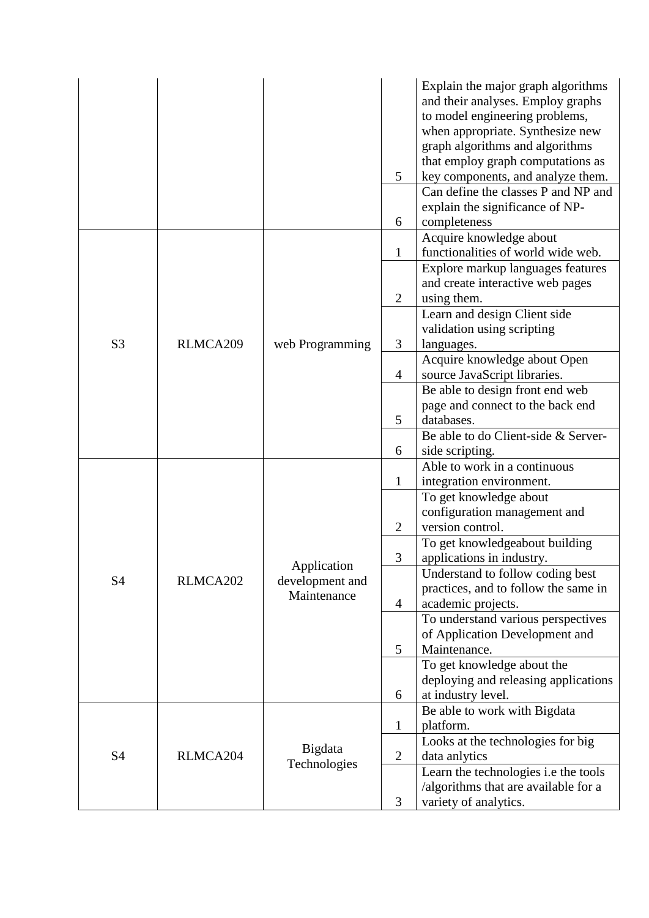|                |          |                                               | 5<br>6                         | Explain the major graph algorithms<br>and their analyses. Employ graphs<br>to model engineering problems,<br>when appropriate. Synthesize new<br>graph algorithms and algorithms<br>that employ graph computations as<br>key components, and analyze them.<br>Can define the classes P and NP and<br>explain the significance of NP-<br>completeness |
|----------------|----------|-----------------------------------------------|--------------------------------|------------------------------------------------------------------------------------------------------------------------------------------------------------------------------------------------------------------------------------------------------------------------------------------------------------------------------------------------------|
|                |          |                                               | $\mathbf{1}$                   | Acquire knowledge about<br>functionalities of world wide web.<br>Explore markup languages features<br>and create interactive web pages                                                                                                                                                                                                               |
| S <sub>3</sub> | RLMCA209 | web Programming                               | $\overline{2}$<br>3            | using them.<br>Learn and design Client side<br>validation using scripting<br>languages.                                                                                                                                                                                                                                                              |
|                |          |                                               | $\overline{4}$                 | Acquire knowledge about Open<br>source JavaScript libraries.                                                                                                                                                                                                                                                                                         |
|                |          |                                               | 5                              | Be able to design front end web<br>page and connect to the back end<br>databases.                                                                                                                                                                                                                                                                    |
|                |          |                                               | 6                              | Be able to do Client-side & Server-<br>side scripting.                                                                                                                                                                                                                                                                                               |
|                | RLMCA202 | Application<br>development and<br>Maintenance |                                | Able to work in a continuous                                                                                                                                                                                                                                                                                                                         |
|                |          |                                               | $\mathbf{1}$<br>$\mathfrak{2}$ | integration environment.<br>To get knowledge about<br>configuration management and<br>version control.                                                                                                                                                                                                                                               |
|                |          |                                               | 3                              | To get knowledgeabout building<br>applications in industry.                                                                                                                                                                                                                                                                                          |
| S4             |          |                                               | $\overline{4}$                 | Understand to follow coding best<br>practices, and to follow the same in<br>academic projects.                                                                                                                                                                                                                                                       |
|                |          |                                               | 5                              | To understand various perspectives<br>of Application Development and<br>Maintenance.                                                                                                                                                                                                                                                                 |
|                |          |                                               | 6                              | To get knowledge about the<br>deploying and releasing applications<br>at industry level.                                                                                                                                                                                                                                                             |
|                |          |                                               | $\mathbf{1}$                   | Be able to work with Bigdata<br>platform.                                                                                                                                                                                                                                                                                                            |
| <b>S4</b>      | RLMCA204 | Bigdata                                       | $\mathbf{2}$                   | Looks at the technologies for big<br>data anlytics                                                                                                                                                                                                                                                                                                   |
|                |          | Technologies                                  | 3                              | Learn the technologies i.e the tools<br>/algorithms that are available for a<br>variety of analytics.                                                                                                                                                                                                                                                |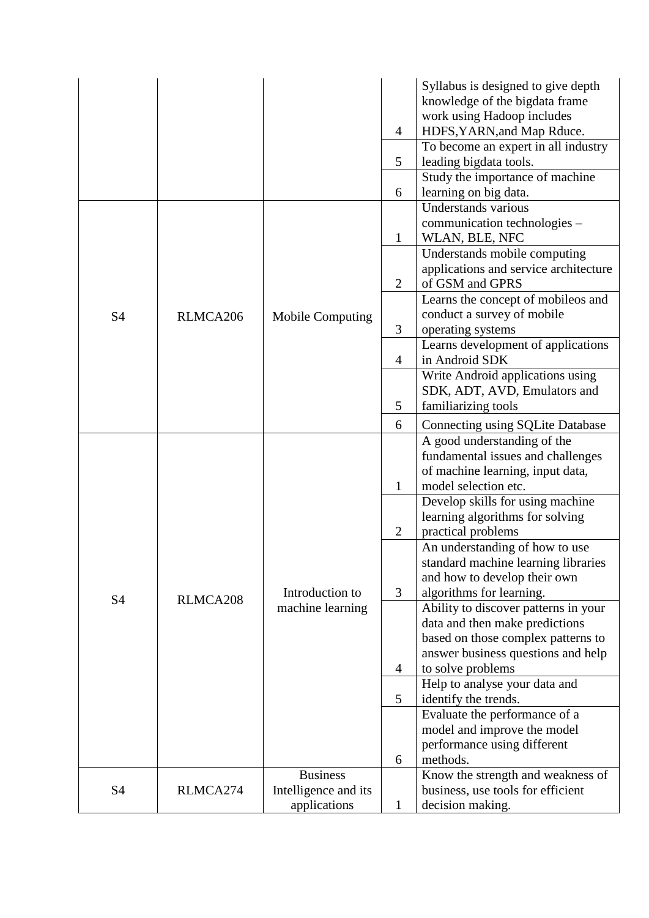|           |          |                                     |                | Syllabus is designed to give depth                                       |
|-----------|----------|-------------------------------------|----------------|--------------------------------------------------------------------------|
|           |          |                                     |                | knowledge of the bigdata frame                                           |
|           |          |                                     |                | work using Hadoop includes                                               |
|           |          |                                     | 4              | HDFS, YARN, and Map Rduce.                                               |
|           |          |                                     |                | To become an expert in all industry                                      |
|           |          |                                     | 5              | leading bigdata tools.                                                   |
|           |          |                                     |                | Study the importance of machine                                          |
|           |          |                                     | 6              | learning on big data.                                                    |
|           |          |                                     |                | Understands various                                                      |
|           |          |                                     |                | communication technologies –                                             |
|           |          |                                     | $\mathbf{1}$   | WLAN, BLE, NFC                                                           |
|           |          |                                     |                | Understands mobile computing                                             |
|           |          |                                     |                | applications and service architecture                                    |
|           |          |                                     | $\overline{2}$ | of GSM and GPRS                                                          |
|           |          |                                     |                | Learns the concept of mobileos and                                       |
| S4        | RLMCA206 | <b>Mobile Computing</b>             |                | conduct a survey of mobile                                               |
|           |          |                                     | 3              | operating systems                                                        |
|           |          |                                     |                | Learns development of applications                                       |
|           |          |                                     | $\overline{4}$ | in Android SDK                                                           |
|           |          |                                     |                | Write Android applications using                                         |
|           |          |                                     |                | SDK, ADT, AVD, Emulators and                                             |
|           |          |                                     | 5              | familiarizing tools                                                      |
|           |          |                                     | 6              | <b>Connecting using SQLite Database</b>                                  |
|           |          |                                     |                | A good understanding of the                                              |
|           |          |                                     |                | fundamental issues and challenges                                        |
|           |          |                                     |                | of machine learning, input data,                                         |
|           |          |                                     | $\mathbf{1}$   | model selection etc.                                                     |
|           |          |                                     |                | Develop skills for using machine                                         |
|           |          |                                     |                | learning algorithms for solving                                          |
|           |          |                                     | $\overline{2}$ | practical problems                                                       |
|           |          |                                     |                | An understanding of how to use                                           |
|           |          |                                     |                | standard machine learning libraries                                      |
|           |          |                                     |                | and how to develop their own                                             |
| S4        | RLMCA208 | Introduction to<br>machine learning | 3              | algorithms for learning.                                                 |
|           |          |                                     |                | Ability to discover patterns in your                                     |
|           |          |                                     |                | data and then make predictions                                           |
|           |          |                                     |                | based on those complex patterns to<br>answer business questions and help |
|           |          |                                     | $\overline{4}$ | to solve problems                                                        |
|           |          |                                     |                | Help to analyse your data and                                            |
|           |          |                                     | 5              | identify the trends.                                                     |
|           |          |                                     |                | Evaluate the performance of a                                            |
|           |          |                                     |                | model and improve the model                                              |
|           |          |                                     |                | performance using different                                              |
|           |          |                                     | 6              | methods.                                                                 |
|           |          | <b>Business</b>                     |                | Know the strength and weakness of                                        |
| <b>S4</b> | RLMCA274 | Intelligence and its                |                | business, use tools for efficient                                        |
|           |          | applications                        | $\mathbf{1}$   | decision making.                                                         |
|           |          |                                     |                |                                                                          |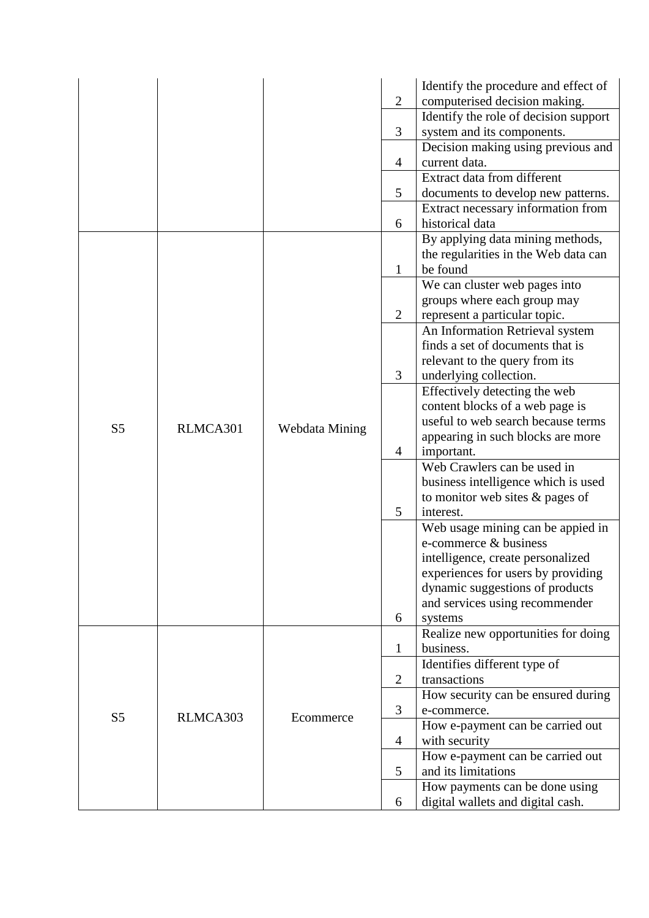|                |          |                |                | Identify the procedure and effect of  |
|----------------|----------|----------------|----------------|---------------------------------------|
|                |          |                | $\overline{2}$ | computerised decision making.         |
|                |          |                |                | Identify the role of decision support |
|                |          |                | 3              | system and its components.            |
|                |          |                |                | Decision making using previous and    |
|                |          |                | $\overline{4}$ | current data.                         |
|                |          |                |                | Extract data from different           |
|                |          |                | 5              | documents to develop new patterns.    |
|                |          |                |                | Extract necessary information from    |
|                |          |                | 6              | historical data                       |
|                |          |                |                | By applying data mining methods,      |
|                |          |                |                | the regularities in the Web data can  |
|                |          |                | $\mathbf{1}$   | be found                              |
|                |          |                |                | We can cluster web pages into         |
|                |          |                |                | groups where each group may           |
|                |          |                | $\overline{2}$ | represent a particular topic.         |
|                |          |                |                | An Information Retrieval system       |
|                |          |                |                | finds a set of documents that is      |
|                |          |                |                | relevant to the query from its        |
|                |          |                | 3              | underlying collection.                |
|                | RLMCA301 |                |                | Effectively detecting the web         |
|                |          | Webdata Mining |                | content blocks of a web page is       |
|                |          |                |                | useful to web search because terms    |
| S <sub>5</sub> |          |                |                | appearing in such blocks are more     |
|                |          |                | $\overline{4}$ | important.                            |
|                |          |                |                | Web Crawlers can be used in           |
|                |          |                |                | business intelligence which is used   |
|                |          |                |                | to monitor web sites & pages of       |
|                |          |                | 5              | interest.                             |
|                |          |                |                | Web usage mining can be appied in     |
|                |          |                |                | e-commerce & business                 |
|                |          |                |                | intelligence, create personalized     |
|                |          |                |                | experiences for users by providing    |
|                |          |                |                | dynamic suggestions of products       |
|                |          |                |                | and services using recommender        |
|                |          |                | 6              | systems                               |
|                |          |                |                | Realize new opportunities for doing   |
|                |          |                | $\mathbf{1}$   | business.                             |
|                |          |                |                | Identifies different type of          |
|                |          |                | $\overline{2}$ | transactions                          |
|                |          |                |                | How security can be ensured during    |
| S <sub>5</sub> |          |                | 3              | e-commerce.                           |
|                | RLMCA303 | Ecommerce      |                | How e-payment can be carried out      |
|                |          |                | $\overline{4}$ | with security                         |
|                |          |                |                | How e-payment can be carried out      |
|                |          |                | 5              | and its limitations                   |
|                |          |                |                | How payments can be done using        |
|                |          |                | 6              | digital wallets and digital cash.     |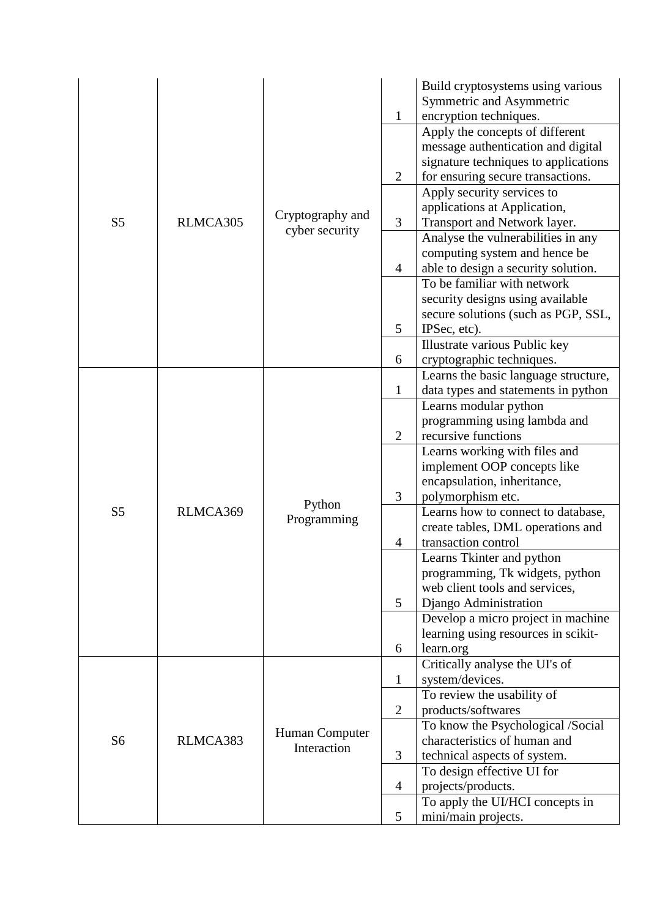|                |          |                  |                | Build cryptosystems using various<br>Symmetric and Asymmetric |
|----------------|----------|------------------|----------------|---------------------------------------------------------------|
|                |          |                  | $\mathbf{1}$   | encryption techniques.                                        |
|                |          |                  |                | Apply the concepts of different                               |
|                |          |                  |                | message authentication and digital                            |
|                |          |                  |                | signature techniques to applications                          |
|                |          |                  | $\overline{2}$ | for ensuring secure transactions.                             |
|                |          |                  |                | Apply security services to                                    |
|                |          | Cryptography and |                | applications at Application,                                  |
| S <sub>5</sub> | RLMCA305 | cyber security   | 3              | Transport and Network layer.                                  |
|                |          |                  |                | Analyse the vulnerabilities in any                            |
|                |          |                  |                | computing system and hence be                                 |
|                |          |                  | 4              | able to design a security solution.                           |
|                |          |                  |                | To be familiar with network                                   |
|                |          |                  |                | security designs using available                              |
|                |          |                  |                | secure solutions (such as PGP, SSL,                           |
|                |          |                  | 5              | IPSec, etc).                                                  |
|                |          |                  |                | Illustrate various Public key                                 |
|                |          |                  | 6              | cryptographic techniques.                                     |
|                |          |                  |                | Learns the basic language structure,                          |
|                |          |                  | $\mathbf{1}$   | data types and statements in python                           |
|                |          |                  |                | Learns modular python                                         |
|                |          |                  |                | programming using lambda and                                  |
|                |          |                  | $\overline{2}$ | recursive functions                                           |
|                |          |                  |                | Learns working with files and                                 |
|                |          |                  |                | implement OOP concepts like                                   |
|                |          |                  |                | encapsulation, inheritance,                                   |
|                |          | Python           | 3              | polymorphism etc.                                             |
| S <sub>5</sub> | RLMCA369 | Programming      |                | Learns how to connect to database,                            |
|                |          |                  |                | create tables, DML operations and                             |
|                |          |                  | 4              | transaction control                                           |
|                |          |                  |                | Learns Tkinter and python                                     |
|                |          |                  |                | programming, Tk widgets, python                               |
|                |          |                  |                | web client tools and services,                                |
|                |          |                  | 5              | Django Administration                                         |
|                |          |                  |                | Develop a micro project in machine                            |
|                |          |                  |                | learning using resources in scikit-                           |
|                |          |                  | 6              | learn.org                                                     |
|                |          |                  |                | Critically analyse the UI's of                                |
|                |          |                  | $\mathbf{1}$   | system/devices.                                               |
|                |          |                  |                | To review the usability of                                    |
|                |          |                  | $\overline{2}$ | products/softwares                                            |
|                |          | Human Computer   |                | To know the Psychological /Social                             |
| S <sub>6</sub> | RLMCA383 | Interaction      |                | characteristics of human and                                  |
|                |          |                  | 3              | technical aspects of system.                                  |
|                |          |                  |                | To design effective UI for                                    |
|                |          |                  | 4              | projects/products.                                            |
|                |          |                  |                | To apply the UI/HCI concepts in                               |
|                |          |                  | 5              | mini/main projects.                                           |